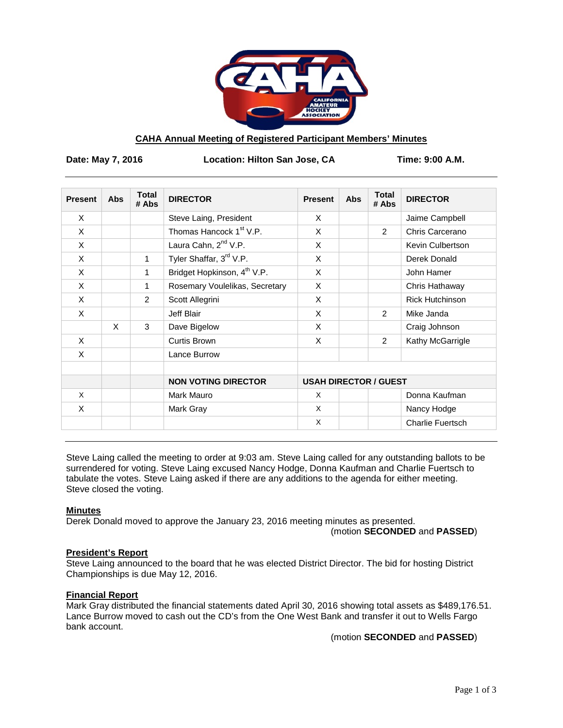

# **CAHA Annual Meeting of Registered Participant Members' Minutes**

**Date: May 7, 2016 Location: Hilton San Jose, CA Time: 9:00 A.M.**

| <b>Present</b> | <b>Abs</b> | <b>Total</b><br># Abs | <b>DIRECTOR</b>                         | <b>Present</b>               | <b>Abs</b> | <b>Total</b><br># Abs | <b>DIRECTOR</b>         |
|----------------|------------|-----------------------|-----------------------------------------|------------------------------|------------|-----------------------|-------------------------|
| X              |            |                       | Steve Laing, President                  | X                            |            |                       | Jaime Campbell          |
| X              |            |                       | Thomas Hancock 1 <sup>st</sup> V.P.     | X                            |            | 2                     | Chris Carcerano         |
| X              |            |                       | Laura Cahn, 2 <sup>nd</sup> V.P.        | X                            |            |                       | Kevin Culbertson        |
| X              |            | 1                     | Tyler Shaffar, 3rd V.P.                 | X                            |            |                       | Derek Donald            |
| X              |            | 1                     | Bridget Hopkinson, 4 <sup>th</sup> V.P. | X                            |            |                       | John Hamer              |
| X              |            | 1                     | Rosemary Voulelikas, Secretary          | X                            |            |                       | Chris Hathaway          |
| $\times$       |            | 2                     | Scott Allegrini                         | X                            |            |                       | <b>Rick Hutchinson</b>  |
| $\times$       |            |                       | Jeff Blair                              | X                            |            | $\mathcal{P}$         | Mike Janda              |
|                | X          | 3                     | Dave Bigelow                            | X                            |            |                       | Craig Johnson           |
| X              |            |                       | Curtis Brown                            | X                            |            | 2                     | Kathy McGarrigle        |
| X              |            |                       | Lance Burrow                            |                              |            |                       |                         |
|                |            |                       | <b>NON VOTING DIRECTOR</b>              | <b>USAH DIRECTOR / GUEST</b> |            |                       |                         |
| X              |            |                       | Mark Mauro                              | X                            |            |                       | Donna Kaufman           |
| X              |            |                       | Mark Gray                               | X                            |            |                       | Nancy Hodge             |
|                |            |                       |                                         | X                            |            |                       | <b>Charlie Fuertsch</b> |

Steve Laing called the meeting to order at 9:03 am. Steve Laing called for any outstanding ballots to be surrendered for voting. Steve Laing excused Nancy Hodge, Donna Kaufman and Charlie Fuertsch to tabulate the votes. Steve Laing asked if there are any additions to the agenda for either meeting. Steve closed the voting.

#### **Minutes**

Derek Donald moved to approve the January 23, 2016 meeting minutes as presented.

(motion **SECONDED** and **PASSED**)

#### **President's Report**

Steve Laing announced to the board that he was elected District Director. The bid for hosting District Championships is due May 12, 2016.

#### **Financial Report**

Mark Gray distributed the financial statements dated April 30, 2016 showing total assets as \$489,176.51. Lance Burrow moved to cash out the CD's from the One West Bank and transfer it out to Wells Fargo bank account.

(motion **SECONDED** and **PASSED**)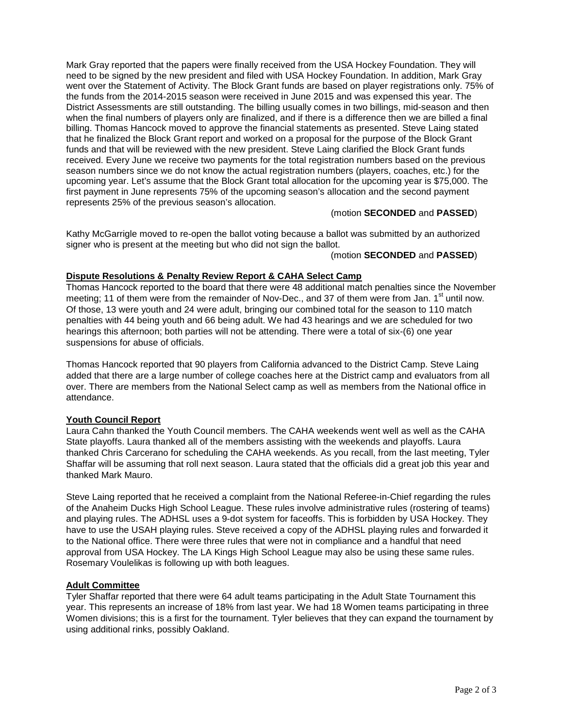Mark Gray reported that the papers were finally received from the USA Hockey Foundation. They will need to be signed by the new president and filed with USA Hockey Foundation. In addition, Mark Gray went over the Statement of Activity. The Block Grant funds are based on player registrations only. 75% of the funds from the 2014-2015 season were received in June 2015 and was expensed this year. The District Assessments are still outstanding. The billing usually comes in two billings, mid-season and then when the final numbers of players only are finalized, and if there is a difference then we are billed a final billing. Thomas Hancock moved to approve the financial statements as presented. Steve Laing stated that he finalized the Block Grant report and worked on a proposal for the purpose of the Block Grant funds and that will be reviewed with the new president. Steve Laing clarified the Block Grant funds received. Every June we receive two payments for the total registration numbers based on the previous season numbers since we do not know the actual registration numbers (players, coaches, etc.) for the upcoming year. Let's assume that the Block Grant total allocation for the upcoming year is \$75,000. The first payment in June represents 75% of the upcoming season's allocation and the second payment represents 25% of the previous season's allocation.

(motion **SECONDED** and **PASSED**)

Kathy McGarrigle moved to re-open the ballot voting because a ballot was submitted by an authorized signer who is present at the meeting but who did not sign the ballot.

(motion **SECONDED** and **PASSED**)

# **Dispute Resolutions & Penalty Review Report & CAHA Select Camp**

Thomas Hancock reported to the board that there were 48 additional match penalties since the November meeting; 11 of them were from the remainder of Nov-Dec., and 37 of them were from Jan.  $1<sup>st</sup>$  until now. Of those, 13 were youth and 24 were adult, bringing our combined total for the season to 110 match penalties with 44 being youth and 66 being adult. We had 43 hearings and we are scheduled for two hearings this afternoon; both parties will not be attending. There were a total of six-(6) one year suspensions for abuse of officials.

Thomas Hancock reported that 90 players from California advanced to the District Camp. Steve Laing added that there are a large number of college coaches here at the District camp and evaluators from all over. There are members from the National Select camp as well as members from the National office in attendance.

# **Youth Council Report**

Laura Cahn thanked the Youth Council members. The CAHA weekends went well as well as the CAHA State playoffs. Laura thanked all of the members assisting with the weekends and playoffs. Laura thanked Chris Carcerano for scheduling the CAHA weekends. As you recall, from the last meeting, Tyler Shaffar will be assuming that roll next season. Laura stated that the officials did a great job this year and thanked Mark Mauro.

Steve Laing reported that he received a complaint from the National Referee-in-Chief regarding the rules of the Anaheim Ducks High School League. These rules involve administrative rules (rostering of teams) and playing rules. The ADHSL uses a 9-dot system for faceoffs. This is forbidden by USA Hockey. They have to use the USAH playing rules. Steve received a copy of the ADHSL playing rules and forwarded it to the National office. There were three rules that were not in compliance and a handful that need approval from USA Hockey. The LA Kings High School League may also be using these same rules. Rosemary Voulelikas is following up with both leagues.

# **Adult Committee**

Tyler Shaffar reported that there were 64 adult teams participating in the Adult State Tournament this year. This represents an increase of 18% from last year. We had 18 Women teams participating in three Women divisions; this is a first for the tournament. Tyler believes that they can expand the tournament by using additional rinks, possibly Oakland.